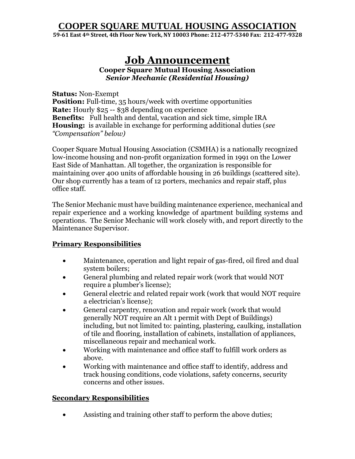### **COOPER SQUARE MUTUAL HOUSING ASSOCIATION**

**59-61 East 4th Street, 4th Floor New York, NY 10003 Phone: 212-477-5340 Fax: 212-477-9328**

# **Job Announcement**

**Cooper Square Mutual Housing Association**  *Senior Mechanic (Residential Housing)*

**Status:** Non-Exempt **Position:** Full-time, 35 hours/week with overtime opportunities **Rate:** Hourly \$25 -- \$38 depending on experience **Benefits:** Full health and dental, vacation and sick time, simple IRA **Housing:** is available in exchange for performing additional duties (*see "Compensation" below)*

Cooper Square Mutual Housing Association (CSMHA) is a nationally recognized low-income housing and non-profit organization formed in 1991 on the Lower East Side of Manhattan. All together, the organization is responsible for maintaining over 400 units of affordable housing in 26 buildings (scattered site). Our shop currently has a team of 12 porters, mechanics and repair staff, plus office staff.

The Senior Mechanic must have building maintenance experience, mechanical and repair experience and a working knowledge of apartment building systems and operations. The Senior Mechanic will work closely with, and report directly to the Maintenance Supervisor.

### **Primary Responsibilities**

- Maintenance, operation and light repair of gas-fired, oil fired and dual system boilers;
- General plumbing and related repair work (work that would NOT require a plumber's license);
- General electric and related repair work (work that would NOT require a electrician's license);
- General carpentry, renovation and repair work (work that would generally NOT require an Alt 1 permit with Dept of Buildings) including, but not limited to: painting, plastering, caulking, installation of tile and flooring, installation of cabinets, installation of appliances, miscellaneous repair and mechanical work.
- Working with maintenance and office staff to fulfill work orders as above.
- Working with maintenance and office staff to identify, address and track housing conditions, code violations, safety concerns, security concerns and other issues.

### **Secondary Responsibilities**

Assisting and training other staff to perform the above duties;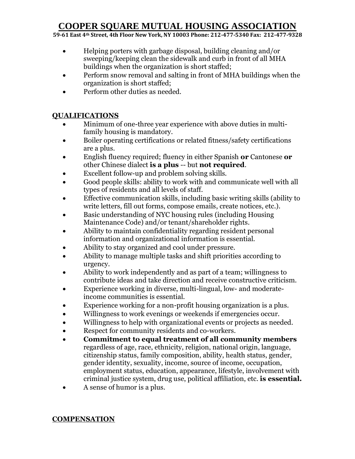## **COOPER SQUARE MUTUAL HOUSING ASSOCIATION**

**59-61 East 4th Street, 4th Floor New York, NY 10003 Phone: 212-477-5340 Fax: 212-477-9328**

- Helping porters with garbage disposal, building cleaning and/or sweeping/keeping clean the sidewalk and curb in front of all MHA buildings when the organization is short staffed;
- Perform snow removal and salting in front of MHA buildings when the organization is short staffed;
- Perform other duties as needed.

### **QUALIFICATIONS**

- Minimum of one-three year experience with above duties in multifamily housing is mandatory.
- Boiler operating certifications or related fitness/safety certifications are a plus.
- English fluency required; fluency in either Spanish **or** Cantonese **or** other Chinese dialect **is a plus** -- but **not required**.
- Excellent follow-up and problem solving skills.
- Good people skills: ability to work with and communicate well with all types of residents and all levels of staff.
- Effective communication skills, including basic writing skills (ability to write letters, fill out forms, compose emails, create notices, etc.).
- Basic understanding of NYC housing rules (including Housing Maintenance Code) and/or tenant/shareholder rights.
- Ability to maintain confidentiality regarding resident personal information and organizational information is essential.
- Ability to stay organized and cool under pressure.
- Ability to manage multiple tasks and shift priorities according to urgency.
- Ability to work independently and as part of a team; willingness to contribute ideas and take direction and receive constructive criticism.
- Experience working in diverse, multi-lingual, low- and moderateincome communities is essential.
- Experience working for a non-profit housing organization is a plus.
- Willingness to work evenings or weekends if emergencies occur.
- Willingness to help with organizational events or projects as needed.
- Respect for community residents and co-workers.
- **Commitment to equal treatment of all community members** regardless of age, race, ethnicity, religion, national origin, language, citizenship status, family composition, ability, health status, gender, gender identity, sexuality, income, source of income, occupation, employment status, education, appearance, lifestyle, involvement with criminal justice system, drug use, political affiliation, etc. **is essential.**
- A sense of humor is a plus.

### **COMPENSATION**